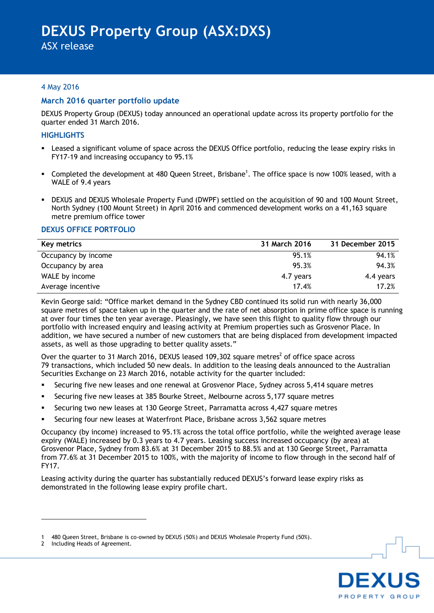ASX release

## 4 May 2016

## **March 2016 quarter portfolio update**

DEXUS Property Group (DEXUS) today announced an operational update across its property portfolio for the quarter ended 31 March 2016.

#### **HIGHLIGHTS**

- Leased a significant volume of space across the DEXUS Office portfolio, reducing the lease expiry risks in FY17-19 and increasing occupancy to 95.1%
- Gompleted the development at 480 Queen Street, Brisbane<sup>1</sup>. The office space is now 100% leased, with a WALE of 9.4 years
- DEXUS and DEXUS Wholesale Property Fund (DWPF) settled on the acquisition of 90 and 100 Mount Street, North Sydney (100 Mount Street) in April 2016 and commenced development works on a 41,163 square metre premium office tower

#### **DEXUS OFFICE PORTFOLIO**

| Key metrics         | 31 March 2016 | 31 December 2015 |
|---------------------|---------------|------------------|
| Occupancy by income | 95.1%         | 94.1%            |
| Occupancy by area   | 95.3%         | 94.3%            |
| WALE by income      | 4.7 years     | 4.4 years        |
| Average incentive   | 17.4%         | 17.2%            |

Kevin George said: "Office market demand in the Sydney CBD continued its solid run with nearly 36,000 square metres of space taken up in the quarter and the rate of net absorption in prime office space is running at over four times the ten year average. Pleasingly, we have seen this flight to quality flow through our portfolio with increased enquiry and leasing activity at Premium properties such as Grosvenor Place. In addition, we have secured a number of new customers that are being displaced from development impacted assets, as well as those upgrading to better quality assets."

Over the quarter to 31 March 2016, DEXUS leased 109,302 square metres<sup>2</sup> of office space across 79 transactions, which included 50 new deals. In addition to the leasing deals announced to the Australian Securities Exchange on 23 March 2016, notable activity for the quarter included:

- Securing five new leases and one renewal at Grosvenor Place, Sydney across 5,414 square metres
- Securing five new leases at 385 Bourke Street, Melbourne across 5,177 square metres
- Securing two new leases at 130 George Street, Parramatta across 4,427 square metres
- Securing four new leases at Waterfront Place, Brisbane across 3,562 square metres

Occupancy (by income) increased to 95.1% across the total office portfolio, while the weighted average lease expiry (WALE) increased by 0.3 years to 4.7 years. Leasing success increased occupancy (by area) at Grosvenor Place, Sydney from 83.6% at 31 December 2015 to 88.5% and at 130 George Street, Parramatta from 77.6% at 31 December 2015 to 100%, with the majority of income to flow through in the second half of FY17.

Leasing activity during the quarter has substantially reduced DEXUS"s forward lease expiry risks as demonstrated in the following lease expiry profile chart.

1



<sup>1</sup> 480 Queen Street, Brisbane is co-owned by DEXUS (50%) and DEXUS Wholesale Property Fund (50%).

<sup>2</sup> Including Heads of Agreement.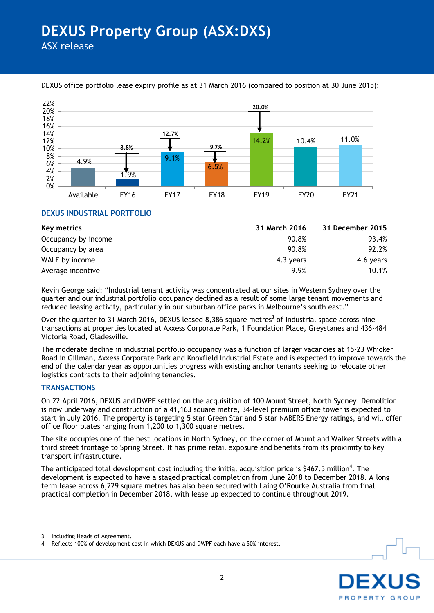

# DEXUS office portfolio lease expiry profile as at 31 March 2016 (compared to position at 30 June 2015):

## **DEXUS INDUSTRIAL PORTFOLIO**

| Key metrics         | 31 March 2016 | 31 December 2015 |
|---------------------|---------------|------------------|
| Occupancy by income | 90.8%         | 93.4%            |
| Occupancy by area   | 90.8%         | 92.2%            |
| WALE by income      | $4.3$ years   | 4.6 years        |
| Average incentive   | 9.9%          | 10.1%            |

Kevin George said: "Industrial tenant activity was concentrated at our sites in Western Sydney over the quarter and our industrial portfolio occupancy declined as a result of some large tenant movements and reduced leasing activity, particularly in our suburban office parks in Melbourne's south east."

Over the quarter to 31 March 2016, DEXUS leased 8,386 square metres<sup>3</sup> of industrial space across nine transactions at properties located at Axxess Corporate Park, 1 Foundation Place, Greystanes and 436-484 Victoria Road, Gladesville.

The moderate decline in industrial portfolio occupancy was a function of larger vacancies at 15-23 Whicker Road in Gillman, Axxess Corporate Park and Knoxfield Industrial Estate and is expected to improve towards the end of the calendar year as opportunities progress with existing anchor tenants seeking to relocate other logistics contracts to their adjoining tenancies.

## **TRANSACTIONS**

On 22 April 2016, DEXUS and DWPF settled on the acquisition of 100 Mount Street, North Sydney. Demolition is now underway and construction of a 41,163 square metre, 34-level premium office tower is expected to start in July 2016. The property is targeting 5 star Green Star and 5 star NABERS Energy ratings, and will offer office floor plates ranging from 1,200 to 1,300 square metres.

The site occupies one of the best locations in North Sydney, on the corner of Mount and Walker Streets with a third street frontage to Spring Street. It has prime retail exposure and benefits from its proximity to key transport infrastructure.

The anticipated total development cost including the initial acquisition price is \$467.5 million<sup>4</sup>. The development is expected to have a staged practical completion from June 2018 to December 2018. A long term lease across 6,229 square metres has also been secured with Laing O"Rourke Australia from final practical completion in December 2018, with lease up expected to continue throughout 2019.

1



<sup>3</sup> Including Heads of Agreement.

<sup>4</sup> Reflects 100% of development cost in which DEXUS and DWPF each have a 50% interest.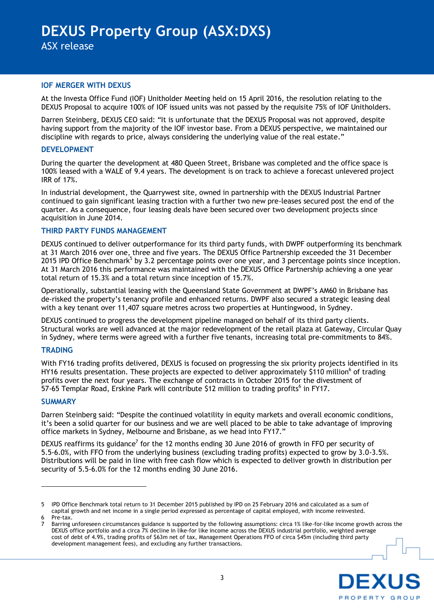#### **IOF MERGER WITH DEXUS**

At the Investa Office Fund (IOF) Unitholder Meeting held on 15 April 2016, the resolution relating to the DEXUS Proposal to acquire 100% of IOF issued units was not passed by the requisite 75% of IOF Unitholders.

Darren Steinberg, DEXUS CEO said: "It is unfortunate that the DEXUS Proposal was not approved, despite having support from the majority of the IOF investor base. From a DEXUS perspective, we maintained our discipline with regards to price, always considering the underlying value of the real estate."

#### **DEVELOPMENT**

During the quarter the development at 480 Queen Street, Brisbane was completed and the office space is 100% leased with a WALE of 9.4 years. The development is on track to achieve a forecast unlevered project IRR of 17%.

In industrial development, the Quarrywest site, owned in partnership with the DEXUS Industrial Partner continued to gain significant leasing traction with a further two new pre-leases secured post the end of the quarter. As a consequence, four leasing deals have been secured over two development projects since acquisition in June 2014.

## **THIRD PARTY FUNDS MANAGEMENT**

DEXUS continued to deliver outperformance for its third party funds, with DWPF outperforming its benchmark at 31 March 2016 over one, three and five years. The DEXUS Office Partnership exceeded the 31 December 2015 IPD Office Benchmark<sup>5</sup> by 3.2 percentage points over one year, and 3 percentage points since inception. At 31 March 2016 this performance was maintained with the DEXUS Office Partnership achieving a one year total return of 15.3% and a total return since inception of 15.7%.

Operationally, substantial leasing with the Queensland State Government at DWPF"s AM60 in Brisbane has de-risked the property"s tenancy profile and enhanced returns. DWPF also secured a strategic leasing deal with a key tenant over 11,407 square metres across two properties at Huntingwood, in Sydney.

DEXUS continued to progress the development pipeline managed on behalf of its third party clients. Structural works are well advanced at the major redevelopment of the retail plaza at Gateway, Circular Quay in Sydney, where terms were agreed with a further five tenants, increasing total pre-commitments to 84%.

## **TRADING**

With FY16 trading profits delivered, DEXUS is focused on progressing the six priority projects identified in its HY16 results presentation. These projects are expected to deliver approximately \$110 million<sup>6</sup> of trading profits over the next four years. The exchange of contracts in October 2015 for the divestment of  $\sim$  57-65 Templar Road, Erskine Park will contribute \$12 million to trading profits<sup>6</sup> in FY17.

## **SUMMARY**

Darren Steinberg said: "Despite the continued volatility in equity markets and overall economic conditions, it"s been a solid quarter for our business and we are well placed to be able to take advantage of improving office markets in Sydney, Melbourne and Brisbane, as we head into FY17."

DEXUS reaffirms its guidance<sup>7</sup> for the 12 months ending 30 June 2016 of growth in FFO per security of 5.5-6.0%, with FFO from the underlying business (excluding trading profits) expected to grow by 3.0-3.5%. Distributions will be paid in line with free cash flow which is expected to deliver growth in distribution per security of 5.5-6.0% for the 12 months ending 30 June 2016.

<u>.</u>

<sup>7</sup> Barring unforeseen circumstances guidance is supported by the following assumptions: circa 1% like-for-like income growth across the DEXUS office portfolio and a circa 7% decline in like-for like income across the DEXUS industrial portfolio, weighted average cost of debt of 4.9%, trading profits of \$63m net of tax, Management Operations FFO of circa \$45m (including third party development management fees), and excluding any further transactions.



IPD Office Benchmark total return to 31 December 2015 published by IPD on 25 February 2016 and calculated as a sum of capital growth and net income in a single period expressed as percentage of capital employed, with income reinvested. Pre-tax.